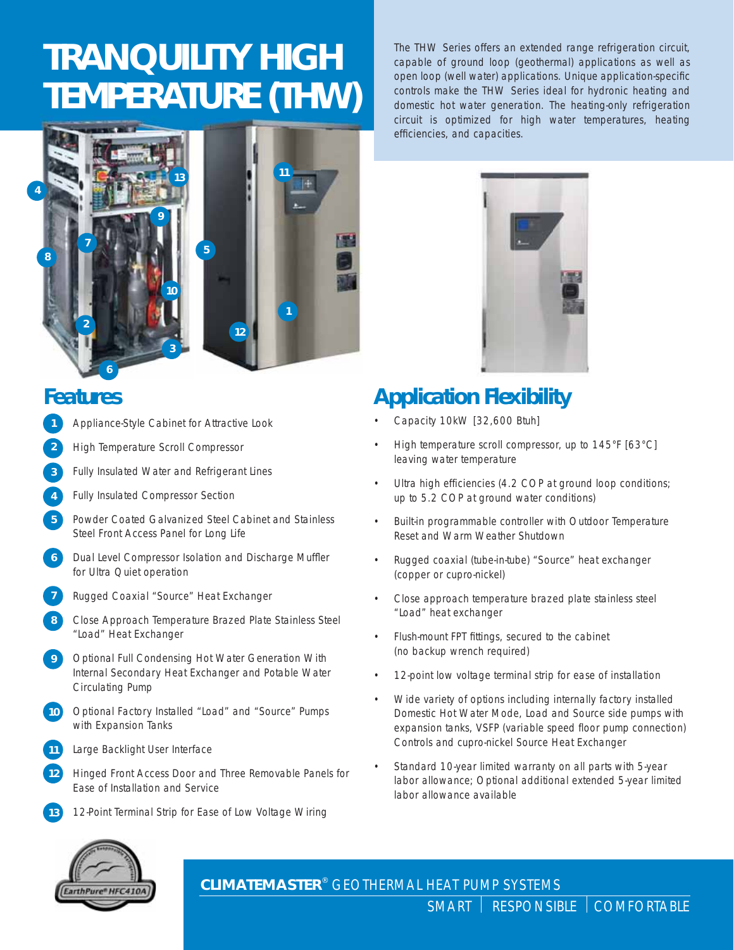# **TRANQUILITY HIGH TEMPERATURE (THW)**



## **Features**

- Appliance-Style Cabinet for Attractive Look **1**
- High Temperature Scroll Compressor **2**
- Fully Insulated Water and Refrigerant Lines **3**
- Fully Insulated Compressor Section **4**
- Powder Coated Galvanized Steel Cabinet and Stainless Steel Front Access Panel for Long Life **5**
- Dual Level Compressor Isolation and Discharge Muffler for Ultra Quiet operation **6**
- Rugged Coaxial "Source" Heat Exchanger **7**
- Close Approach Temperature Brazed Plate Stainless Steel "Load" Heat Exchanger **8**
- Optional Full Condensing Hot Water Generation With Internal Secondary Heat Exchanger and Potable Water Circulating Pump **9**
- Optional Factory Installed "Load" and "Source" Pumps with Expansion Tanks **10**
- Large Backlight User Interface **11**
- Hinged Front Access Door and Three Removable Panels for Ease of Installation and Service **12**
- 12-Point Terminal Strip for Ease of Low Voltage Wiring **13**

The THW Series offers an extended range refrigeration circuit, capable of ground loop (geothermal) applications as well as open loop (well water) applications. Unique application-specific controls make the THW Series ideal for hydronic heating and domestic hot water generation. The heating-only refrigeration circuit is optimized for high water temperatures, heating efficiencies, and capacities.



## **Application Flexibility**

- Capacity 10kW [32,600 Btuh]
- High temperature scroll compressor, up to 145°F [63°C] leaving water temperature
- Ultra high efficiencies (4.2 COP at ground loop conditions; up to 5.2 COP at ground water conditions)
- Built-in programmable controller with Outdoor Temperature Reset and Warm Weather Shutdown
- Rugged coaxial (tube-in-tube) "Source" heat exchanger (copper or cupro-nickel)
- Close approach temperature brazed plate stainless steel "Load" heat exchanger
- Flush-mount FPT fittings, secured to the cabinet (no backup wrench required)
- 12-point low voltage terminal strip for ease of installation
- Wide variety of options including internally factory installed Domestic Hot Water Mode, Load and Source side pumps with expansion tanks, VSFP (variable speed floor pump connection) Controls and cupro-nickel Source Heat Exchanger
- Standard 10-year limited warranty on all parts with 5-year labor allowance; Optional additional extended 5-year limited labor allowance available



**CLIMATEMASTER**® GEOTHERMAL HEAT PUMP SYSTEMS